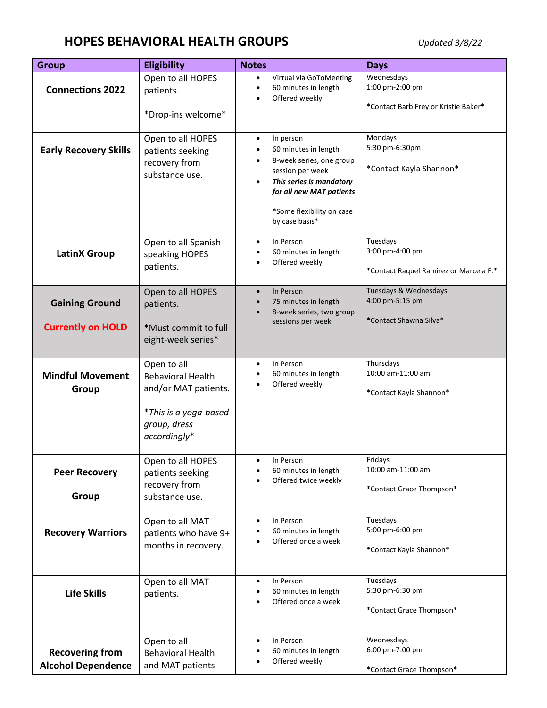## **HOPES BEHAVIORAL HEALTH GROUPS** *Updated 3/8/22*

| <b>Group</b>                                        | <b>Eligibility</b>                                                                                                       | <b>Notes</b>                                                                                                                                                                                                       | <b>Days</b>                                                           |
|-----------------------------------------------------|--------------------------------------------------------------------------------------------------------------------------|--------------------------------------------------------------------------------------------------------------------------------------------------------------------------------------------------------------------|-----------------------------------------------------------------------|
| <b>Connections 2022</b>                             | Open to all HOPES<br>patients.<br>*Drop-ins welcome*                                                                     | Virtual via GoToMeeting<br>$\bullet$<br>60 minutes in length<br>Offered weekly                                                                                                                                     | Wednesdays<br>1:00 pm-2:00 pm<br>*Contact Barb Frey or Kristie Baker* |
| <b>Early Recovery Skills</b>                        | Open to all HOPES<br>patients seeking<br>recovery from<br>substance use.                                                 | In person<br>$\bullet$<br>60 minutes in length<br>8-week series, one group<br>session per week<br>This series is mandatory<br>$\bullet$<br>for all new MAT patients<br>*Some flexibility on case<br>by case basis* | Mondays<br>5:30 pm-6:30pm<br>*Contact Kayla Shannon*                  |
| <b>LatinX Group</b>                                 | Open to all Spanish<br>speaking HOPES<br>patients.                                                                       | In Person<br>$\bullet$<br>60 minutes in length<br>Offered weekly                                                                                                                                                   | Tuesdays<br>3:00 pm-4:00 pm<br>*Contact Raquel Ramirez or Marcela F.* |
| <b>Gaining Ground</b><br><b>Currently on HOLD</b>   | Open to all HOPES<br>patients.<br>*Must commit to full<br>eight-week series*                                             | In Person<br>$\bullet$<br>75 minutes in length<br>8-week series, two group<br>sessions per week                                                                                                                    | Tuesdays & Wednesdays<br>4:00 pm-5:15 pm<br>*Contact Shawna Silva*    |
| <b>Mindful Movement</b><br>Group                    | Open to all<br><b>Behavioral Health</b><br>and/or MAT patients.<br>*This is a yoga-based<br>group, dress<br>accordingly* | In Person<br>٠<br>60 minutes in length<br>Offered weekly                                                                                                                                                           | Thursdays<br>10:00 am-11:00 am<br>*Contact Kayla Shannon*             |
| <b>Peer Recovery</b><br>Group                       | Open to all HOPES<br>patients seeking<br>recovery from<br>substance use.                                                 | In Person<br>60 minutes in length<br>Offered twice weekly                                                                                                                                                          | Fridays<br>10:00 am-11:00 am<br>*Contact Grace Thompson*              |
| <b>Recovery Warriors</b>                            | Open to all MAT<br>patients who have 9+<br>months in recovery.                                                           | In Person<br>$\bullet$<br>60 minutes in length<br>Offered once a week                                                                                                                                              | Tuesdays<br>5:00 pm-6:00 pm<br>*Contact Kayla Shannon*                |
| <b>Life Skills</b>                                  | Open to all MAT<br>patients.                                                                                             | In Person<br>$\bullet$<br>60 minutes in length<br>Offered once a week                                                                                                                                              | Tuesdays<br>5:30 pm-6:30 pm<br>*Contact Grace Thompson*               |
| <b>Recovering from</b><br><b>Alcohol Dependence</b> | Open to all<br><b>Behavioral Health</b><br>and MAT patients                                                              | In Person<br>$\bullet$<br>60 minutes in length<br>Offered weekly                                                                                                                                                   | Wednesdays<br>6:00 pm-7:00 pm<br>*Contact Grace Thompson*             |